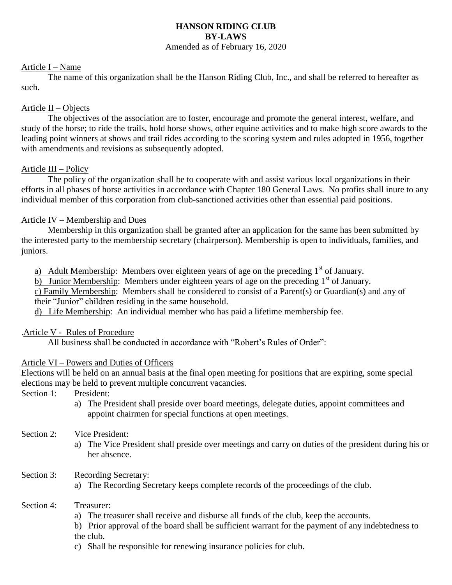### **HANSON RIDING CLUB BY-LAWS** Amended as of February 16, 2020

#### Article I – Name

The name of this organization shall be the Hanson Riding Club, Inc., and shall be referred to hereafter as such.

### Article II – Objects

The objectives of the association are to foster, encourage and promote the general interest, welfare, and study of the horse; to ride the trails, hold horse shows, other equine activities and to make high score awards to the leading point winners at shows and trail rides according to the scoring system and rules adopted in 1956, together with amendments and revisions as subsequently adopted.

## Article III – Policy

The policy of the organization shall be to cooperate with and assist various local organizations in their efforts in all phases of horse activities in accordance with Chapter 180 General Laws. No profits shall inure to any individual member of this corporation from club-sanctioned activities other than essential paid positions.

## Article IV – Membership and Dues

Membership in this organization shall be granted after an application for the same has been submitted by the interested party to the membership secretary (chairperson). Membership is open to individuals, families, and juniors.

a) Adult Membership: Members over eighteen years of age on the preceding  $1<sup>st</sup>$  of January.

b) Junior Membership: Members under eighteen years of age on the preceding  $1<sup>st</sup>$  of January.

c) Family Membership: Members shall be considered to consist of a Parent(s) or Guardian(s) and any of their "Junior" children residing in the same household.

d) Life Membership: An individual member who has paid a lifetime membership fee.

#### .Article V - Rules of Procedure

All business shall be conducted in accordance with "Robert's Rules of Order":

#### Article VI – Powers and Duties of Officers

Elections will be held on an annual basis at the final open meeting for positions that are expiring, some special elections may be held to prevent multiple concurrent vacancies.

Section 1: President:

- a) The President shall preside over board meetings, delegate duties, appoint committees and appoint chairmen for special functions at open meetings.
- Section 2: Vice President:
	- a) The Vice President shall preside over meetings and carry on duties of the president during his or her absence.
- Section 3: Recording Secretary:
	- a) The Recording Secretary keeps complete records of the proceedings of the club.

#### Section 4: Treasurer:

a) The treasurer shall receive and disburse all funds of the club, keep the accounts.

b) Prior approval of the board shall be sufficient warrant for the payment of any indebtedness to the club.

c) Shall be responsible for renewing insurance policies for club.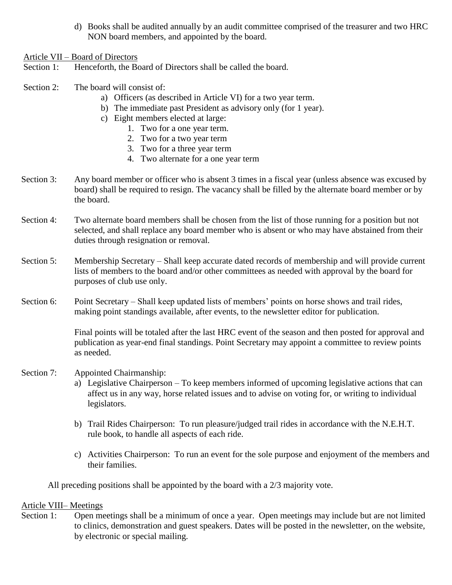- d) Books shall be audited annually by an audit committee comprised of the treasurer and two HRC NON board members, and appointed by the board.
- Article VII Board of Directors
- Section 1: Henceforth, the Board of Directors shall be called the board.
- Section 2: The board will consist of:
	- a) Officers (as described in Article VI) for a two year term.
	- b) The immediate past President as advisory only (for 1 year).
	- c) Eight members elected at large:
		- 1. Two for a one year term.
		- 2. Two for a two year term
		- 3. Two for a three year term
		- 4. Two alternate for a one year term
- Section 3: Any board member or officer who is absent 3 times in a fiscal year (unless absence was excused by board) shall be required to resign. The vacancy shall be filled by the alternate board member or by the board.
- Section 4: Two alternate board members shall be chosen from the list of those running for a position but not selected, and shall replace any board member who is absent or who may have abstained from their duties through resignation or removal.
- Section 5: Membership Secretary Shall keep accurate dated records of membership and will provide current lists of members to the board and/or other committees as needed with approval by the board for purposes of club use only.
- Section 6: Point Secretary Shall keep updated lists of members' points on horse shows and trail rides, making point standings available, after events, to the newsletter editor for publication.

Final points will be totaled after the last HRC event of the season and then posted for approval and publication as year-end final standings. Point Secretary may appoint a committee to review points as needed.

- Section 7: Appointed Chairmanship:
	- a) Legislative Chairperson To keep members informed of upcoming legislative actions that can affect us in any way, horse related issues and to advise on voting for, or writing to individual legislators.
	- b) Trail Rides Chairperson: To run pleasure/judged trail rides in accordance with the N.E.H.T. rule book, to handle all aspects of each ride.
	- c) Activities Chairperson: To run an event for the sole purpose and enjoyment of the members and their families.

All preceding positions shall be appointed by the board with a 2/3 majority vote.

#### Article VIII– Meetings

Section 1: Open meetings shall be a minimum of once a year. Open meetings may include but are not limited to clinics, demonstration and guest speakers. Dates will be posted in the newsletter, on the website, by electronic or special mailing.